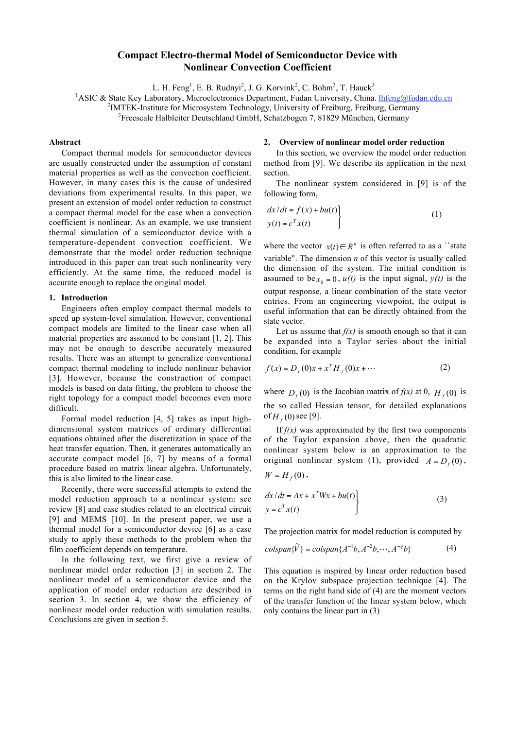# **Compact Electro-thermal Model of Semiconductor Device with Nonlinear Convection Coefficient**

L. H. Feng<sup>1</sup>, E. B. Rudnyi<sup>2</sup>, J. G. Korvink<sup>2</sup>, C. Bohm<sup>3</sup>, T. Hauck<sup>3</sup>

<sup>1</sup>ASIC & State Key Laboratory, Microelectronics Department, Fudan University, China. *lhfeng@fudan.edu.cn* <sup>2</sup>MTEV, Institute for Microeustam Technology, University of Freiburg, Freiburg, Germany

<sup>2</sup>IMTEK-Institute for Microsystem Technology, University of Freiburg, Freiburg, Germany

<sup>3</sup>Freescale Halbleiter Deutschland GmbH, Schatzbogen 7, 81829 München, Germany

## **Abstract**

Compact thermal models for semiconductor devices are usually constructed under the assumption of constant material properties as well as the convection coefficient. However, in many cases this is the cause of undesired deviations from experimental results. In this paper, we present an extension of model order reduction to construct a compact thermal model for the case when a convection coefficient is nonlinear. As an example, we use transient thermal simulation of a semiconductor device with a temperature-dependent convection coefficient. We demonstrate that the model order reduction technique introduced in this paper can treat such nonlinearity very efficiently. At the same time, the reduced model is accurate enough to replace the original model.

#### **1. Introduction**

Engineers often employ compact thermal models to speed up system-level simulation. However, conventional compact models are limited to the linear case when all material properties are assumed to be constant [1, 2]. This may not be enough to describe accurately measured results. There was an attempt to generalize conventional compact thermal modeling to include nonlinear behavior [3]. However, because the construction of compact models is based on data fitting, the problem to choose the right topology for a compact model becomes even more difficult.

Formal model reduction [4, 5] takes as input highdimensional system matrices of ordinary differential equations obtained after the discretization in space of the heat transfer equation. Then, it generates automatically an accurate compact model [6, 7] by means of a formal procedure based on matrix linear algebra. Unfortunately, this is also limited to the linear case.

Recently, there were successful attempts to extend the model reduction approach to a nonlinear system: see review [8] and case studies related to an electrical circuit [9] and MEMS [10]. In the present paper, we use a thermal model for a semiconductor device [6] as a case study to apply these methods to the problem when the film coefficient depends on temperature.

In the following text, we first give a review of nonlinear model order reduction [3] in section 2. The nonlinear model of a semiconductor device and the application of model order reduction are described in section 3. In section 4, we show the efficiency of nonlinear model order reduction with simulation results. Conclusions are given in section 5.

#### **2. Overview of nonlinear model order reduction**

In this section, we overview the model order reduction method from [9]. We describe its application in the next section.

The nonlinear system considered in [9] is of the following form,

$$
\begin{aligned}\n dx/dt &= f(x) + bu(t) \\
y(t) &= c^T x(t)\n \end{aligned}
$$
\n(1)

where the vector  $x(t) \in R^n$  is often referred to as a "state" variable". The dimension *n* of this vector is usually called the dimension of the system. The initial condition is assumed to be  $x_0 = 0$ ,  $u(t)$  is the input signal,  $y(t)$  is the output response, a linear combination of the state vector entries. From an engineering viewpoint, the output is useful information that can be directly obtained from the state vector.

Let us assume that  $f(x)$  is smooth enough so that it can be expanded into a Taylor series about the initial condition, for example

$$
f(x) = D_f(0)x + x^T H_f(0)x + \cdots
$$
 (2)

where  $D_f(0)$  is the Jacobian matrix of  $f(x)$  at 0,  $H_f(0)$  is the so called Hessian tensor, for detailed explanations of  $H_f(0)$  see [9].

If  $f(x)$  was approximated by the first two components of the Taylor expansion above, then the quadratic nonlinear system below is an approximation to the original nonlinear system (1), provided  $A = D_f(0)$ ,

$$
W = Hf(0),
$$

$$
\left\{\frac{dx}{dt} = Ax + x^T Wx + bu(t)\right\}
$$
  
y = c<sup>T</sup> x(t) (3)

The projection matrix for model reduction is computed by

$$
colspan\{\widetilde{V}\} = colspan\{A^{-1}b, A^{-2}b, \cdots, A^{-q}b\}
$$
 (4)

This equation is inspired by linear order reduction based on the Krylov subspace projection technique [4]. The terms on the right hand side of (4) are the moment vectors of the transfer function of the linear system below, which only contains the linear part in (3)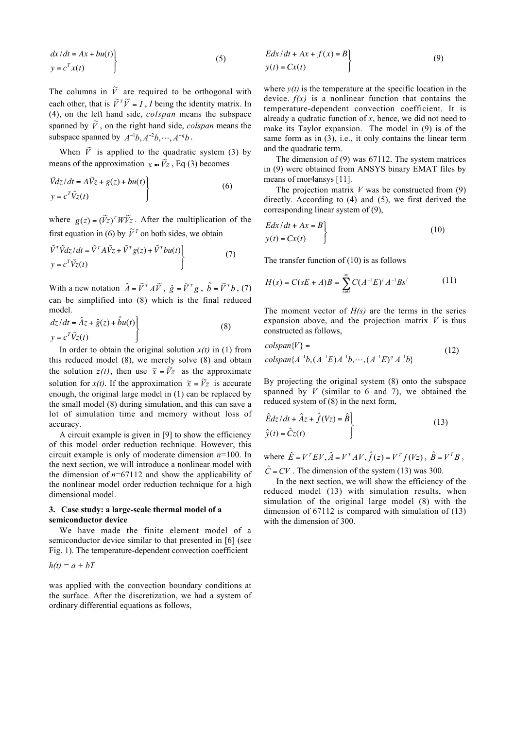$$
\left\{\frac{dx}{dt} = Ax + bu(t)\right\}
$$
\n
$$
y = c^T x(t)
$$
\n(5)

The columns in  $\tilde{V}$  are required to be orthogonal with each other, that is  $\widetilde{V}^T \widetilde{V} = I$ , *I* being the identity matrix. In (4), on the left hand side, *colspan* means the subspace spanned by  $\tilde{V}$ , on the right hand side, *colspan* means the subspace spanned by  $A^{-1}b$ ,  $A^{-2}b$ ,  $\cdots$ ,  $A^{-q}b$ .

When  $\tilde{V}$  is applied to the quadratic system (3) by means of the approximation  $x \approx \tilde{V}z$ , Eq (3) becomes

$$
\tilde{V}dz/dt = A\tilde{V}z + g(z) + bu(t) \n y = cT \tilde{V}z(t)
$$
\n(6)

where  $g(z) = (\tilde{V}z)^T W \tilde{V} z$ . After the multiplication of the first equation in (6) by  $\tilde{V}^T$  on both sides, we obtain

$$
\tilde{V}^T \tilde{V} dz/dt = \tilde{V}^T A \tilde{V} z + \tilde{V}^T g(z) + \tilde{V}^T b u(t) \n y = c^T \tilde{V} z(t)
$$
\n(7)

With a new notation  $\hat{A} = \tilde{V}^T A \tilde{V}$ ,  $\hat{g} = \tilde{V}^T g$ ,  $\hat{b} = \tilde{V}^T b$ , (7) can be simplified into (8) which is the final reduced model.

$$
dz/dt = \hat{A}z + \hat{g}(z) + \hat{b}u(t) \n y = cT \tilde{V}z(t)
$$
\n(8)

In order to obtain the original solution  $x(t)$  in (1) from this reduced model (8), we merely solve (8) and obtain the solution  $z(t)$ , then use  $\tilde{x} = \tilde{V}z$  as the approximate solution for *x(t)*. If the approximation  $\tilde{x} = \tilde{V}z$  is accurate enough, the original large model in (1) can be replaced by the small model (8) during simulation, and this can save a lot of simulation time and memory without loss of accuracy.

A circuit example is given in [9] to show the efficiency of this model order reduction technique. However, this circuit example is only of moderate dimension *n*=100. In the next section, we will introduce a nonlinear model with the dimension of  $n=67112$  and show the applicability of the nonlinear model order reduction technique for a high dimensional model.

## **3. Case study: a large-scale thermal model of a semiconductor device**

We have made the finite element model of a semiconductor device similar to that presented in [6] (see Fig. 1). The temperature-dependent convection coefficient

$$
h(t)=a+bT
$$

was applied with the convection boundary conditions at the surface. After the discretization, we had a system of ordinary differential equations as follows,

$$
Edx/dt + Ax + f(x) = B
$$
  
y(t) = Cx(t) (9)

where  $y(t)$  is the temperature at the specific location in the device.  $f(x)$  is a nonlinear function that contains the temperature-dependent convection coefficient. It is already a qudratic function of *x*, hence, we did not need to make its Taylor expansion. The model in (9) is of the same form as in (3), i.e., it only contains the linear term and the quadratic term.

The dimension of (9) was 67112. The system matrices in (9) were obtained from ANSYS binary EMAT files by means of mor4ansys [11].

The projection matrix  $V$  was be constructed from  $(9)$ directly. According to (4) and (5), we first derived the corresponding linear system of (9),

$$
Edx/dt + Ax = B
$$
  
y(t) = Cx(t) (10)

The transfer function of (10) is as follows

$$
H(s) = C(sE + A)B = \sum_{i=0}^{\infty} C(A^{-1}E)^i A^{-1}Bs^i
$$
 (11)

The moment vector of *H(s)* are the terms in the series expansion above, and the projection matrix *V* is thus constructed as follows,

$$
colspan{V} =
$$
  
\n
$$
colspan{A^{-1}b, (A^{-1}E)A^{-1}b, \cdots, (A^{-1}E)^{q}A^{-1}b}
$$
\n(12)

By projecting the original system (8) onto the subspace spanned by  $V$  (similar to 6 and 7), we obtained the reduced system of (8) in the next form,

$$
\hat{E}dz/dt + \hat{A}z + \hat{f}(Vz) = \hat{B}
$$
\n
$$
\hat{y}(t) = \hat{C}z(t)
$$
\n(13)

where  $\hat{E} = V^T E V$ ,  $\hat{A} = V^T A V$ ,  $\hat{f}(z) = V^T f(Vz)$ ,  $\hat{B} = V^T B$ ,  $\hat{C}$  = *CV*. The dimension of the system (13) was 300.

In the next section, we will show the efficiency of the reduced model (13) with simulation results, when simulation of the original large model (8) with the dimension of 67112 is compared with simulation of (13) with the dimension of 300.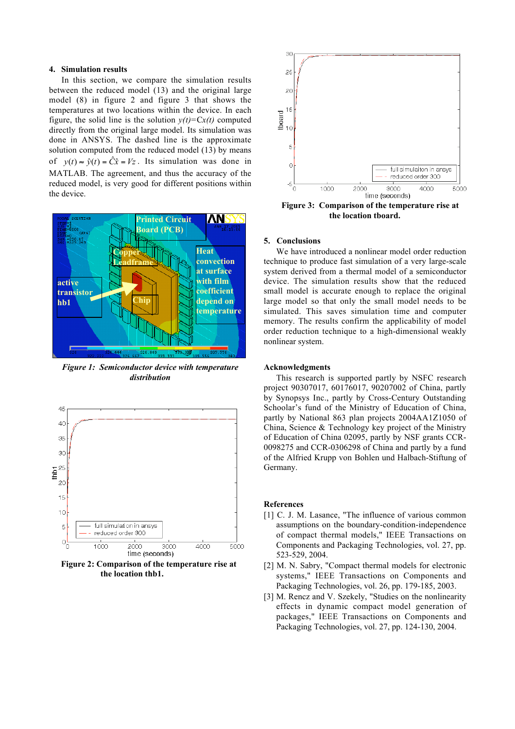### **4. Simulation results**

In this section, we compare the simulation results between the reduced model (13) and the original large model (8) in figure 2 and figure 3 that shows the temperatures at two locations within the device. In each figure, the solid line is the solution  $y(t) = Cx(t)$  computed directly from the original large model. Its simulation was done in ANSYS. The dashed line is the approximate solution computed from the reduced model (13) by means of  $y(t) \approx \hat{y}(t) = \hat{C} \hat{x} = Vz$ . Its simulation was done in MATLAB. The agreement, and thus the accuracy of the reduced model, is very good for different positions within the device.



*Figure 1: Semiconductor device with temperature distribution*



**Figure 2: Comparison of the temperature rise at the location thb1.**



**Figure 3: Comparison of the temperature rise at the location tboard.**

## **5. Conclusions**

We have introduced a nonlinear model order reduction technique to produce fast simulation of a very large-scale system derived from a thermal model of a semiconductor device. The simulation results show that the reduced small model is accurate enough to replace the original large model so that only the small model needs to be simulated. This saves simulation time and computer memory. The results confirm the applicability of model order reduction technique to a high-dimensional weakly nonlinear system.

## **Acknowledgments**

This research is supported partly by NSFC research project 90307017, 60176017, 90207002 of China, partly by Synopsys Inc., partly by Cross-Century Outstanding Schoolar's fund of the Ministry of Education of China, partly by National 863 plan projects 2004AA1Z1050 of China, Science & Technology key project of the Ministry of Education of China 02095, partly by NSF grants CCR-0098275 and CCR-0306298 of China and partly by a fund of the Alfried Krupp von Bohlen und Halbach-Stiftung of Germany.

#### **References**

- [1] C. J. M. Lasance, "The influence of various common assumptions on the boundary-condition-independence of compact thermal models," IEEE Transactions on Components and Packaging Technologies, vol. 27, pp. 523-529, 2004.
- [2] M. N. Sabry, "Compact thermal models for electronic systems," IEEE Transactions on Components and Packaging Technologies, vol. 26, pp. 179-185, 2003.
- [3] M. Rencz and V. Szekely, "Studies on the nonlinearity effects in dynamic compact model generation of packages," IEEE Transactions on Components and Packaging Technologies, vol. 27, pp. 124-130, 2004.